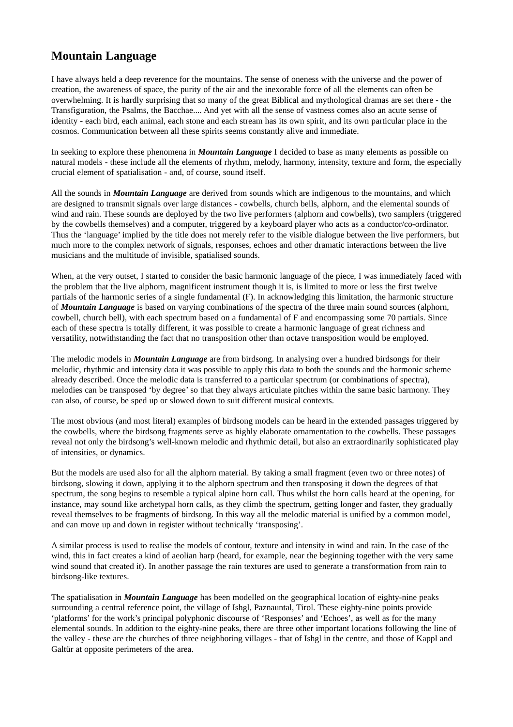## **Mountain Language**

I have always held a deep reverence for the mountains. The sense of oneness with the universe and the power of creation, the awareness of space, the purity of the air and the inexorable force of all the elements can often be overwhelming. It is hardly surprising that so many of the great Biblical and mythological dramas are set there - the Transfiguration, the Psalms, the Bacchae.... And yet with all the sense of vastness comes also an acute sense of identity - each bird, each animal, each stone and each stream has its own spirit, and its own particular place in the cosmos. Communication between all these spirits seems constantly alive and immediate.

In seeking to explore these phenomena in *Mountain Language* I decided to base as many elements as possible on natural models - these include all the elements of rhythm, melody, harmony, intensity, texture and form, the especially crucial element of spatialisation - and, of course, sound itself.

All the sounds in *Mountain Language* are derived from sounds which are indigenous to the mountains, and which are designed to transmit signals over large distances - cowbells, church bells, alphorn, and the elemental sounds of wind and rain. These sounds are deployed by the two live performers (alphorn and cowbells), two samplers (triggered by the cowbells themselves) and a computer, triggered by a keyboard player who acts as a conductor/co-ordinator. Thus the 'language' implied by the title does not merely refer to the visible dialogue between the live performers, but much more to the complex network of signals, responses, echoes and other dramatic interactions between the live musicians and the multitude of invisible, spatialised sounds.

When, at the very outset, I started to consider the basic harmonic language of the piece, I was immediately faced with the problem that the live alphorn, magnificent instrument though it is, is limited to more or less the first twelve partials of the harmonic series of a single fundamental (F). In acknowledging this limitation, the harmonic structure of *Mountain Language* is based on varying combinations of the spectra of the three main sound sources (alphorn, cowbell, church bell), with each spectrum based on a fundamental of F and encompassing some 70 partials. Since each of these spectra is totally different, it was possible to create a harmonic language of great richness and versatility, notwithstanding the fact that no transposition other than octave transposition would be employed.

The melodic models in *Mountain Language* are from birdsong. In analysing over a hundred birdsongs for their melodic, rhythmic and intensity data it was possible to apply this data to both the sounds and the harmonic scheme already described. Once the melodic data is transferred to a particular spectrum (or combinations of spectra), melodies can be transposed 'by degree' so that they always articulate pitches within the same basic harmony. They can also, of course, be sped up or slowed down to suit different musical contexts.

The most obvious (and most literal) examples of birdsong models can be heard in the extended passages triggered by the cowbells, where the birdsong fragments serve as highly elaborate ornamentation to the cowbells. These passages reveal not only the birdsong's well-known melodic and rhythmic detail, but also an extraordinarily sophisticated play of intensities, or dynamics.

But the models are used also for all the alphorn material. By taking a small fragment (even two or three notes) of birdsong, slowing it down, applying it to the alphorn spectrum and then transposing it down the degrees of that spectrum, the song begins to resemble a typical alpine horn call. Thus whilst the horn calls heard at the opening, for instance, may sound like archetypal horn calls, as they climb the spectrum, getting longer and faster, they gradually reveal themselves to be fragments of birdsong. In this way all the melodic material is unified by a common model, and can move up and down in register without technically 'transposing'.

A similar process is used to realise the models of contour, texture and intensity in wind and rain. In the case of the wind, this in fact creates a kind of aeolian harp (heard, for example, near the beginning together with the very same wind sound that created it). In another passage the rain textures are used to generate a transformation from rain to birdsong-like textures.

The spatialisation in *Mountain Language* has been modelled on the geographical location of eighty-nine peaks surrounding a central reference point, the village of Ishgl, Paznauntal, Tirol. These eighty-nine points provide 'platforms' for the work's principal polyphonic discourse of 'Responses' and 'Echoes', as well as for the many elemental sounds. In addition to the eighty-nine peaks, there are three other important locations following the line of the valley - these are the churches of three neighboring villages - that of Ishgl in the centre, and those of Kappl and Galtür at opposite perimeters of the area.